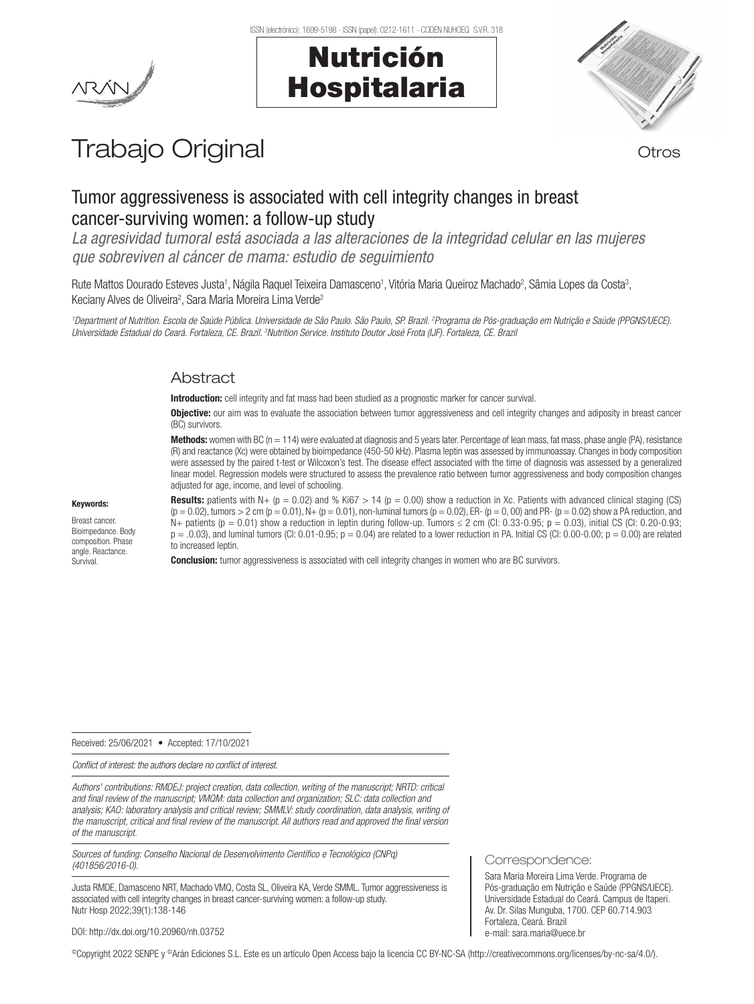# Nutrición Hospitalaria



# Trabajo Original **Trabajo Original**

# Tumor aggressiveness is associated with cell integrity changes in breast cancer-surviving women: a follow-up study

*La agresividad tumoral está asociada a las alteraciones de la integridad celular en las mujeres que sobreviven al cáncer de mama: estudio de seguimiento*

Rute Mattos Dourado Esteves Justa<sup>1</sup>, Nágila Raquel Teixeira Damasceno<sup>1</sup>, Vitória Maria Queiroz Machado<sup>2</sup>, Sâmia Lopes da Costa<sup>3</sup>, Keciany Alves de Oliveira<sup>2</sup>, Sara Maria Moreira Lima Verde<sup>2</sup>

*1 Department of Nutrition. Escola de Saúde Pública. Universidade de São Paulo. São Paulo, SP. Brazil. 2 Programa de Pós-graduação em Nutrição e Saúde (PPGNS/UECE).*  Universidade Estadual do Ceará. Fortaleza, CE. Brazil. <sup>3</sup>Nutrition Service. Instituto Doutor José Frota (IJF). Fortaleza, CE. Brazil

## Abstract

Introduction: cell integrity and fat mass had been studied as a prognostic marker for cancer survival.

Objective: our aim was to evaluate the association between tumor aggressiveness and cell integrity changes and adiposity in breast cancer (BC) survivors.

**Methods:** women with BC (n = 114) were evaluated at diagnosis and 5 years later. Percentage of lean mass, fat mass, phase angle (PA), resistance (R) and reactance (Xc) were obtained by bioimpedance (450-50 kHz). Plasma leptin was assessed by immunoassay. Changes in body composition were assessed by the paired t-test or Wilcoxon's test. The disease effect associated with the time of diagnosis was assessed by a generalized linear model. Regression models were structured to assess the prevalence ratio between tumor aggressiveness and body composition changes adjusted for age, income, and level of schooling.

Keywords:

Breast cancer. Bioimpedance. Body composition. Phase angle. Reactance. Survival.

**Results:** patients with N+ ( $p = 0.02$ ) and % Ki67 > 14 ( $p = 0.00$ ) show a reduction in Xc. Patients with advanced clinical staging (CS)  $(p = 0.02)$ , tumors > 2 cm  $(p = 0.01)$ , N+  $(p = 0.01)$ , non-luminal tumors  $(p = 0.02)$ , ER-  $(p = 0, 00)$  and PR-  $(p = 0.02)$  show a PA reduction, and N+ patients ( $p = 0.01$ ) show a reduction in leptin during follow-up. Tumors  $\leq 2$  cm (CI: 0.33-0.95;  $p = 0.03$ ), initial CS (CI: 0.20-0.93;  $p = 0.03$ , and luminal tumors (CI: 0.01-0.95;  $p = 0.04$ ) are related to a lower reduction in PA. Initial CS (CI: 0.00-0.00;  $p = 0.00$ ) are related to increased leptin.

**Conclusion:** tumor aggressiveness is associated with cell integrity changes in women who are BC survivors.

Received: 25/06/2021 • Accepted: 17/10/2021

*Conflict of interest: the authors declare no conflict of interest.*

*Authors' contributions: RMDEJ: project creation, data collection, writing of the manuscript; NRTD: critical and final review of the manuscript; VMQM: data collection and organization; SLC: data collection and analysis; KAO: laboratory analysis and critical review; SMMLV: study coordination, data analysis, writing of the manuscript, critical and final review of the manuscript. All authors read and approved the final version of the manuscript.*

*Sources of funding: Conselho Nacional de Desenvolvimento Científico e Tecnológico (CNPq) (401856/2016-0).*

Justa RMDE, Damasceno NRT, Machado VMQ, Costa SL, Oliveira KA, Verde SMML. Tumor aggressiveness is associated with cell integrity changes in breast cancer-surviving women: a follow-up study. Nutr Hosp 2022;39(1):138-146

Correspondence:

Sara Maria Moreira Lima Verde. Programa de Pós-graduação em Nutrição e Saúde (PPGNS/UECE). Universidade Estadual do Ceará. Campus de Itaperi. Av. Dr. Silas Munguba, 1700. CEP 60.714.903 Fortaleza, Ceará. Brazil e-mail: sara.maria@uece.br

DOI: http://dx.doi.org/10.20960/nh.03752

©Copyright 2022 SENPE y ©Arán Ediciones S.L. Este es un artículo Open Access bajo la licencia CC BY-NC-SA (http://creativecommons.org/licenses/by-nc-sa/4.0/).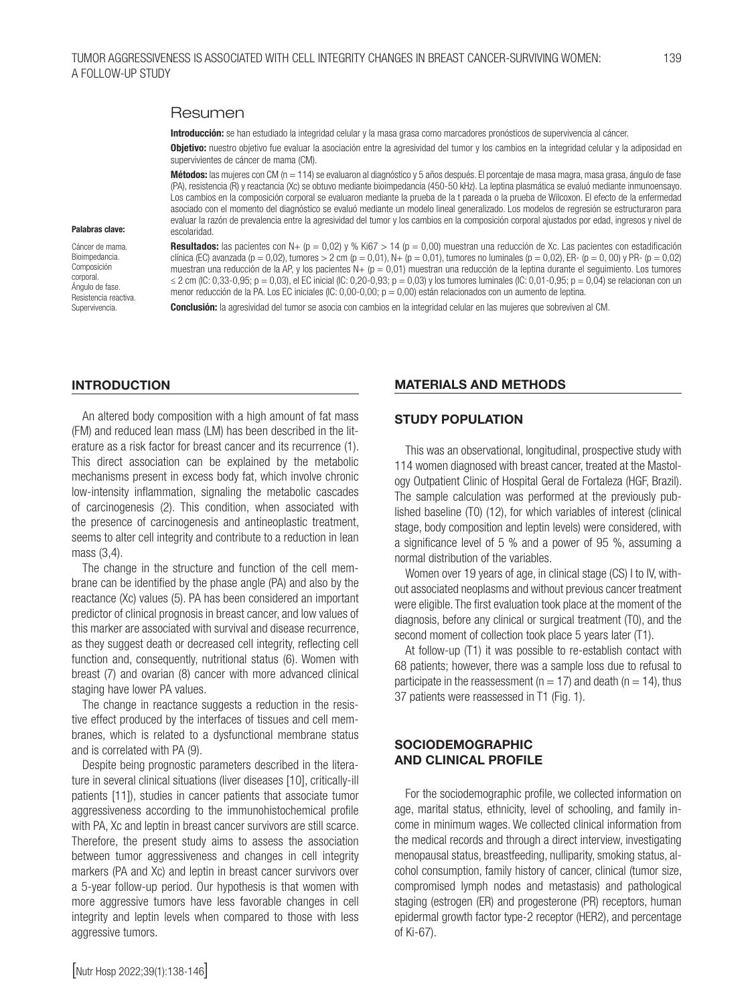#### Resumen

Introducción: se han estudiado la integridad celular y la masa grasa como marcadores pronósticos de supervivencia al cáncer.

Objetivo: nuestro objetivo fue evaluar la asociación entre la agresividad del tumor y los cambios en la integridad celular y la adiposidad en supervivientes de cáncer de mama (CM).

Métodos: las mujeres con CM (n = 114) se evaluaron al diagnóstico y 5 años después. El porcentaje de masa magra, masa grasa, ángulo de fase (PA), resistencia (R) y reactancia (Xc) se obtuvo mediante bioimpedancia (450-50 kHz). La leptina plasmática se evaluó mediante inmunoensayo. Los cambios en la composición corporal se evaluaron mediante la prueba de la t pareada o la prueba de Wilcoxon. El efecto de la enfermedad asociado con el momento del diagnóstico se evaluó mediante un modelo lineal generalizado. Los modelos de regresión se estructuraron para evaluar la razón de prevalencia entre la agresividad del tumor y los cambios en la composición corporal ajustados por edad, ingresos y nivel de escolaridad.

#### Palabras clave:

Cáncer de mama. Bioimpedancia. Composición corporal. Ángulo de fase. Resistencia reactiva. Supervivencia.

Resultados: las pacientes con N+  $(p = 0.02)$  y % Ki67 > 14  $(p = 0.00)$  muestran una reducción de Xc. Las pacientes con estadificación clínica (EC) avanzada (p = 0,02), tumores > 2 cm (p = 0,01), N+ (p = 0,01), tumores no luminales (p = 0,02), ER- (p = 0,00) y PR- (p = 0,02) muestran una reducción de la AP, y los pacientes  $N+ (p = 0,01)$  muestran una reducción de la leptina durante el seguimiento. Los tumores ≤ 2 cm (IC: 0,33-0,95; p = 0,03), el EC inicial (IC: 0,20-0,93; p = 0,03) y los tumores luminales (IC: 0,01-0,95; p = 0,04) se relacionan con un menor reducción de la PA. Los EC iniciales (IC: 0,00-0,00; p = 0,00) están relacionados con un aumento de leptina.

Conclusión: la agresividad del tumor se asocia con cambios en la integridad celular en las mujeres que sobreviven al CM.

#### INTRODUCTION

An altered body composition with a high amount of fat mass (FM) and reduced lean mass (LM) has been described in the literature as a risk factor for breast cancer and its recurrence (1). This direct association can be explained by the metabolic mechanisms present in excess body fat, which involve chronic low-intensity inflammation, signaling the metabolic cascades of carcinogenesis (2). This condition, when associated with the presence of carcinogenesis and antineoplastic treatment, seems to alter cell integrity and contribute to a reduction in lean mass (3,4).

The change in the structure and function of the cell membrane can be identified by the phase angle (PA) and also by the reactance (Xc) values (5). PA has been considered an important predictor of clinical prognosis in breast cancer, and low values of this marker are associated with survival and disease recurrence, as they suggest death or decreased cell integrity, reflecting cell function and, consequently, nutritional status (6). Women with breast (7) and ovarian (8) cancer with more advanced clinical staging have lower PA values.

The change in reactance suggests a reduction in the resistive effect produced by the interfaces of tissues and cell membranes, which is related to a dysfunctional membrane status and is correlated with PA (9).

Despite being prognostic parameters described in the literature in several clinical situations (liver diseases [10], critically-ill patients [11]), studies in cancer patients that associate tumor aggressiveness according to the immunohistochemical profile with PA, Xc and leptin in breast cancer survivors are still scarce. Therefore, the present study aims to assess the association between tumor aggressiveness and changes in cell integrity markers (PA and Xc) and leptin in breast cancer survivors over a 5-year follow-up period. Our hypothesis is that women with more aggressive tumors have less favorable changes in cell integrity and leptin levels when compared to those with less aggressive tumors.

#### MATERIALS AND METHODS

#### STUDY POPULATION

This was an observational, longitudinal, prospective study with 114 women diagnosed with breast cancer, treated at the Mastology Outpatient Clinic of Hospital Geral de Fortaleza (HGF, Brazil). The sample calculation was performed at the previously published baseline (T0) (12), for which variables of interest (clinical stage, body composition and leptin levels) were considered, with a significance level of 5 % and a power of 95 %, assuming a normal distribution of the variables.

Women over 19 years of age, in clinical stage (CS) I to IV, without associated neoplasms and without previous cancer treatment were eligible. The first evaluation took place at the moment of the diagnosis, before any clinical or surgical treatment (T0), and the second moment of collection took place 5 years later (T1).

At follow-up (T1) it was possible to re-establish contact with 68 patients; however, there was a sample loss due to refusal to participate in the reassessment ( $n = 17$ ) and death ( $n = 14$ ), thus 37 patients were reassessed in T1 (Fig. 1).

#### SOCIODEMOGRAPHIC AND CLINICAL PROFILE

For the sociodemographic profile, we collected information on age, marital status, ethnicity, level of schooling, and family income in minimum wages. We collected clinical information from the medical records and through a direct interview, investigating menopausal status, breastfeeding, nulliparity, smoking status, alcohol consumption, family history of cancer, clinical (tumor size, compromised lymph nodes and metastasis) and pathological staging (estrogen (ER) and progesterone (PR) receptors, human epidermal growth factor type-2 receptor (HER2), and percentage of Ki-67).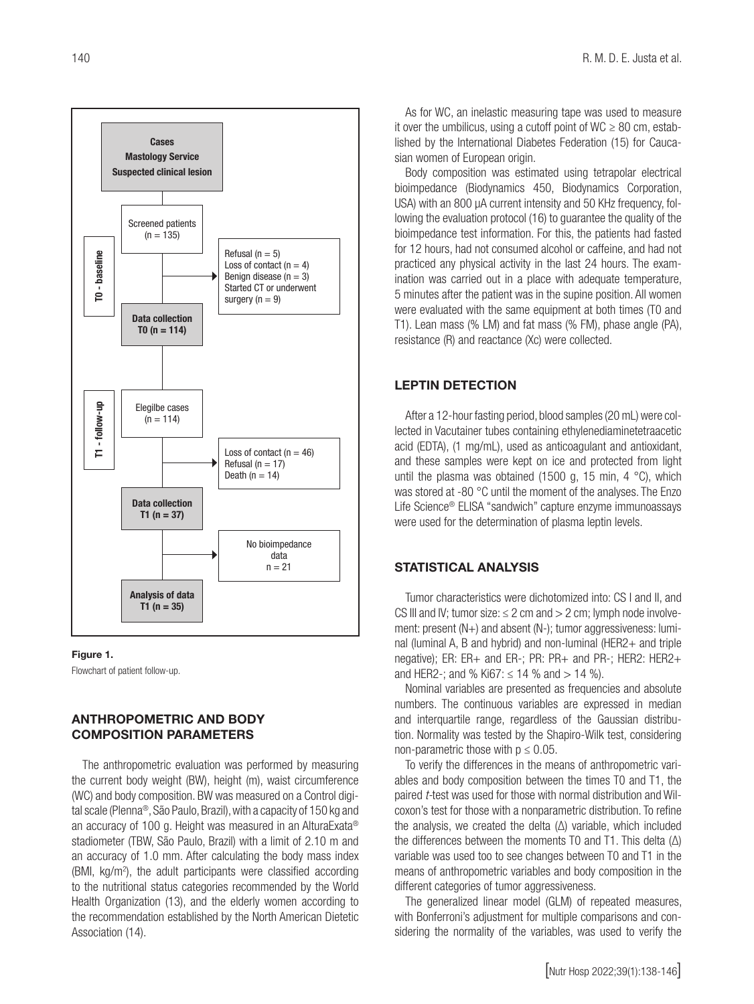



Flowchart of patient follow-up.

#### ANTHROPOMETRIC AND BODY COMPOSITION PARAMETERS

The anthropometric evaluation was performed by measuring the current body weight (BW), height (m), waist circumference (WC) and body composition. BW was measured on a Control digital scale (Plenna®, São Paulo, Brazil), with a capacity of 150 kg and an accuracy of 100 g. Height was measured in an AlturaExata® stadiometer (TBW, São Paulo, Brazil) with a limit of 2.10 m and an accuracy of 1.0 mm. After calculating the body mass index (BMI, kg/m<sup>2</sup>), the adult participants were classified according to the nutritional status categories recommended by the World Health Organization (13), and the elderly women according to the recommendation established by the North American Dietetic Association (14).

As for WC, an inelastic measuring tape was used to measure it over the umbilicus, using a cutoff point of WC  $\geq$  80 cm, established by the International Diabetes Federation (15) for Caucasian women of European origin.

Body composition was estimated using tetrapolar electrical bioimpedance (Biodynamics 450, Biodynamics Corporation, USA) with an 800 µA current intensity and 50 KHz frequency, following the evaluation protocol (16) to guarantee the quality of the bioimpedance test information. For this, the patients had fasted for 12 hours, had not consumed alcohol or caffeine, and had not practiced any physical activity in the last 24 hours. The examination was carried out in a place with adequate temperature, 5 minutes after the patient was in the supine position. All women were evaluated with the same equipment at both times (T0 and T1). Lean mass (% LM) and fat mass (% FM), phase angle (PA), resistance (R) and reactance (Xc) were collected.

#### LEPTIN DETECTION

After a 12-hour fasting period, blood samples (20 mL) were collected in Vacutainer tubes containing ethylenediaminetetraacetic acid (EDTA), (1 mg/mL), used as anticoagulant and antioxidant, and these samples were kept on ice and protected from light until the plasma was obtained (1500 g, 15 min, 4 °C), which was stored at -80 °C until the moment of the analyses. The Enzo Life Science® ELISA "sandwich" capture enzyme immunoassays were used for the determination of plasma leptin levels.

#### STATISTICAL ANALYSIS

Tumor characteristics were dichotomized into: CS I and II, and CS III and IV; tumor size:  $\leq$  2 cm and  $>$  2 cm; lymph node involvement: present (N+) and absent (N-); tumor aggressiveness: luminal (luminal A, B and hybrid) and non-luminal (HER2+ and triple negative); ER: ER+ and ER-; PR: PR+ and PR-; HER2: HER2+ and HER2-; and % Ki67:  $\leq$  14 % and  $>$  14 %).

Nominal variables are presented as frequencies and absolute numbers. The continuous variables are expressed in median and interquartile range, regardless of the Gaussian distribution. Normality was tested by the Shapiro-Wilk test, considering non-parametric those with  $p \le 0.05$ .

To verify the differences in the means of anthropometric variables and body composition between the times T0 and T1, the paired *t-*test was used for those with normal distribution and Wilcoxon's test for those with a nonparametric distribution. To refine the analysis, we created the delta (∆) variable, which included the differences between the moments T0 and T1. This delta (∆) variable was used too to see changes between T0 and T1 in the means of anthropometric variables and body composition in the different categories of tumor aggressiveness.

The generalized linear model (GLM) of repeated measures, with Bonferroni's adjustment for multiple comparisons and considering the normality of the variables, was used to verify the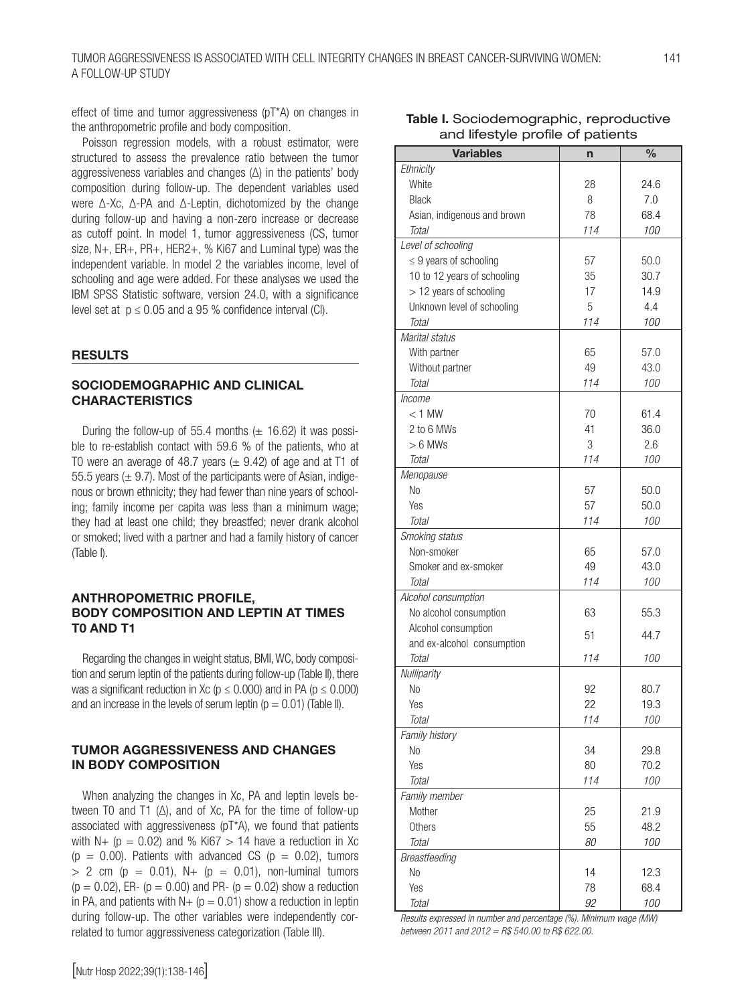effect of time and tumor aggressiveness (pT\*A) on changes in the anthropometric profile and body composition.

Poisson regression models, with a robust estimator, were structured to assess the prevalence ratio between the tumor aggressiveness variables and changes (∆) in the patients' body composition during follow-up. The dependent variables used were ∆-Xc, ∆-PA and ∆-Leptin, dichotomized by the change during follow-up and having a non-zero increase or decrease as cutoff point. In model 1, tumor aggressiveness (CS, tumor size, N+, ER+, PR+, HER2+, % Ki67 and Luminal type) was the independent variable. In model 2 the variables income, level of schooling and age were added. For these analyses we used the IBM SPSS Statistic software, version 24.0, with a significance level set at  $p \le 0.05$  and a 95 % confidence interval (CI).

#### **RESULTS**

#### SOCIODEMOGRAPHIC AND CLINICAL **CHARACTERISTICS**

During the follow-up of 55.4 months  $(\pm 16.62)$  it was possible to re-establish contact with 59.6 % of the patients, who at T0 were an average of 48.7 years ( $\pm$  9.42) of age and at T1 of 55.5 years ( $\pm$  9.7). Most of the participants were of Asian, indigenous or brown ethnicity; they had fewer than nine years of schooling; family income per capita was less than a minimum wage; they had at least one child; they breastfed; never drank alcohol or smoked; lived with a partner and had a family history of cancer (Table I).

#### ANTHROPOMETRIC PROFILE, BODY COMPOSITION AND LEPTIN AT TIMES T0 AND T1

Regarding the changes in weight status, BMI, WC, body composition and serum leptin of the patients during follow-up (Table II), there was a significant reduction in Xc ( $p \le 0.000$ ) and in PA ( $p \le 0.000$ ) and an increase in the levels of serum leptin ( $p = 0.01$ ) (Table II).

#### TUMOR AGGRESSIVENESS AND CHANGES IN BODY COMPOSITION

When analyzing the changes in Xc, PA and leptin levels between T0 and T1 (∆), and of Xc, PA for the time of follow-up associated with aggressiveness (pT\*A), we found that patients with N+ ( $p = 0.02$ ) and % Ki67 > 14 have a reduction in Xc  $(p = 0.00)$ . Patients with advanced CS  $(p = 0.02)$ , tumors  $> 2$  cm (p = 0.01), N+ (p = 0.01), non-luminal tumors  $(p = 0.02)$ , ER-  $(p = 0.00)$  and PR-  $(p = 0.02)$  show a reduction in PA, and patients with  $N+$  ( $p = 0.01$ ) show a reduction in leptin during follow-up. The other variables were independently correlated to tumor aggressiveness categorization (Table III).

| <b>Variables</b>            | n   | $\frac{0}{0}$ |
|-----------------------------|-----|---------------|
| Ethnicity                   |     |               |
| White                       | 28  | 24.6          |
| <b>Black</b>                | 8   | 7.0           |
| Asian, indigenous and brown | 78  | 68.4          |
| Total                       | 114 | 100           |
| Level of schooling          |     |               |
| $\leq$ 9 years of schooling | 57  | 50.0          |
| 10 to 12 years of schooling | 35  | 30.7          |
| > 12 years of schooling     | 17  | 14.9          |
| Unknown level of schooling  | 5   | 4.4           |
| Total                       | 114 | 100           |
| Marital status              |     |               |
|                             |     |               |
| With partner                | 65  | 57.0          |
| Without partner             | 49  | 43.0          |
| Total                       | 114 | 100           |
| Income                      |     |               |
| $<$ 1 MW                    | 70  | 61.4          |
| 2 to 6 MWs                  | 41  | 36.0          |
| $> 6$ MWs                   | 3   | 2.6           |
| Total                       | 114 | 100           |
| Menopause                   |     |               |
| No                          | 57  | 50.0          |
| Yes                         | 57  | 50.0          |
| Total                       | 114 | 100           |
| Smoking status              |     |               |
| Non-smoker                  | 65  | 57.0          |
| Smoker and ex-smoker        | 49  | 43.0          |
| Total                       | 114 | 100           |
| Alcohol consumption         |     |               |
| No alcohol consumption      | 63  | 55.3          |
| Alcohol consumption         | 51  | 44.7          |
| and ex-alcohol consumption  |     |               |
| Total                       | 114 | 100           |
| Nulliparity                 |     |               |
| N <sub>o</sub>              | 92  | 80.7          |
| Yes                         | 22  | 19.3          |
| Total                       | 114 | 100           |
| Family history              |     |               |
| No                          | 34  | 29.8          |
| Yes                         | 80  | 70.2          |
| <b>Total</b>                | 114 | 100           |
| Family member               |     |               |
| Mother                      | 25  | 21.9          |
| Others                      | 55  | 48.2          |
| Total                       | 80  | 100           |
| Breastfeeding               |     |               |
| No                          | 14  | 12.3          |
| Yes                         | 78  | 68.4          |
| Total                       | 92  | 100           |

*Results expressed in number and percentage (%). Minimum wage (MW) between 2011 and 2012 = R\$ 540.00 to R\$ 622.00.*

| Table I. Sociodemographic, reproductive |
|-----------------------------------------|
| and lifestyle profile of patients       |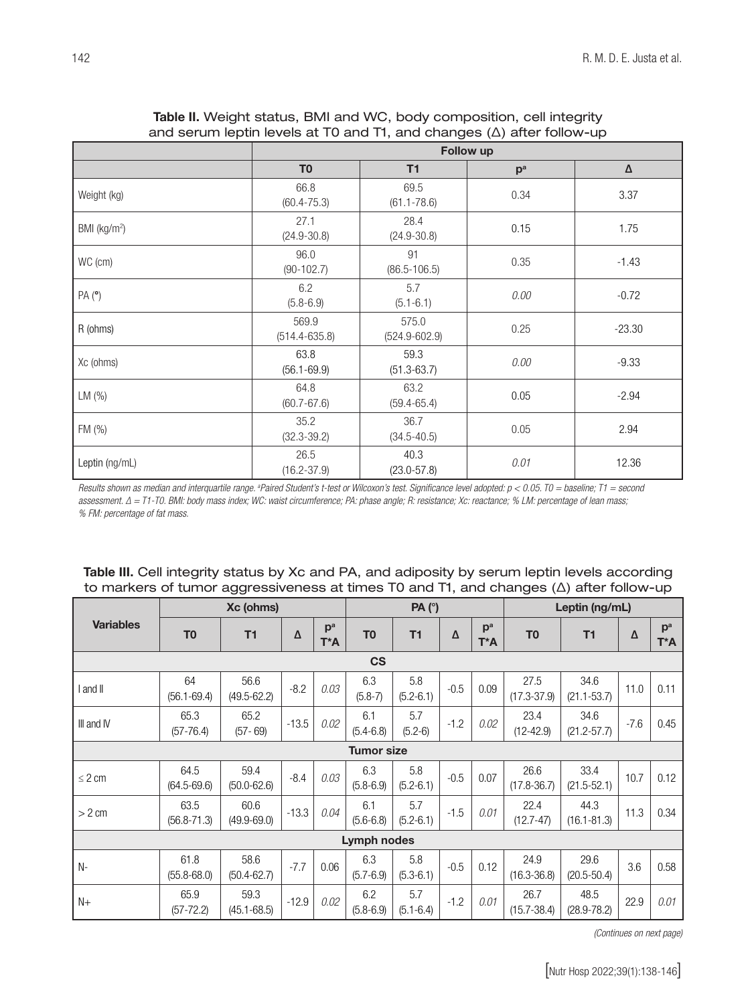|                          |                            |                            | -- <i>۱</i> ۱ -- ۰<br>Follow up |          |
|--------------------------|----------------------------|----------------------------|---------------------------------|----------|
|                          | T <sub>0</sub>             | T1                         | p <sup>a</sup>                  | $\Delta$ |
| Weight (kg)              | 66.8<br>$(60.4 - 75.3)$    | 69.5<br>$(61.1 - 78.6)$    | 0.34                            | 3.37     |
| BMI (kg/m <sup>2</sup> ) | 27.1<br>$(24.9 - 30.8)$    | 28.4<br>$(24.9 - 30.8)$    | 0.15                            | 1.75     |
| WC (cm)                  | 96.0<br>$(90-102.7)$       | 91<br>$(86.5 - 106.5)$     | 0.35                            | $-1.43$  |
| PA(°)                    | 6.2<br>$(5.8 - 6.9)$       | 5.7<br>$(5.1 - 6.1)$       | 0.00                            | $-0.72$  |
| R (ohms)                 | 569.9<br>$(514.4 - 635.8)$ | 575.0<br>$(524.9 - 602.9)$ | 0.25                            | $-23.30$ |
| Xc (ohms)                | 63.8<br>$(56.1 - 69.9)$    | 59.3<br>$(51.3 - 63.7)$    | 0.00                            | $-9.33$  |
| LM (%)                   | 64.8<br>$(60.7 - 67.6)$    | 63.2<br>$(59.4 - 65.4)$    | 0.05                            | $-2.94$  |
| FM (%)                   | 35.2<br>$(32.3 - 39.2)$    | 36.7<br>$(34.5 - 40.5)$    | 0.05                            | 2.94     |
| Leptin (ng/mL)           | 26.5<br>$(16.2 - 37.9)$    | 40.3<br>$(23.0 - 57.8)$    | 0.01                            | 12.36    |

### Table II. Weight status, BMI and WC, body composition, cell integrity and serum leptin levels at T0 and T1, and changes (∆) after follow-up

*Results shown as median and interquartile range. a Paired Student's t-test or Wilcoxon's test. Significance level adopted: p < 0.05. T0 = baseline; T1 = second assessment. ∆ = T1-T0. BMI: body mass index; WC: waist circumference; PA: phase angle; R: resistance; Xc: reactance; % LM: percentage of lean mass; % FM: percentage of fat mass.*

### Table III. Cell integrity status by Xc and PA, and adiposity by serum leptin levels according to markers of tumor aggressiveness at times T0 and T1, and changes (∆) after follow-up

|                  |                         | Xc (ohms)               |         |                       |                      | PA (°)               |        |                       |                         | Leptin (ng/mL)          |        |                       |
|------------------|-------------------------|-------------------------|---------|-----------------------|----------------------|----------------------|--------|-----------------------|-------------------------|-------------------------|--------|-----------------------|
| <b>Variables</b> | T <sub>0</sub>          | T1                      | Δ       | p <sup>a</sup><br>T*A | T <sub>0</sub>       | T1                   | Δ      | p <sup>a</sup><br>T*A | T <sub>0</sub>          | T1                      | Δ      | p <sup>a</sup><br>T*A |
|                  |                         |                         |         |                       | <b>CS</b>            |                      |        |                       |                         |                         |        |                       |
| I and II         | 64<br>$(56.1 - 69.4)$   | 56.6<br>$(49.5 - 62.2)$ | $-8.2$  | 0.03                  | 6.3<br>$(5.8 - 7)$   | 5.8<br>$(5.2 - 6.1)$ | $-0.5$ | 0.09                  | 27.5<br>$(17.3 - 37.9)$ | 34.6<br>$(21.1 - 53.7)$ | 11.0   | 0.11                  |
| III and IV       | 65.3<br>$(57 - 76.4)$   | 65.2<br>$(57 - 69)$     | $-13.5$ | 0.02                  | 6.1<br>$(5.4 - 6.8)$ | 5.7<br>$(5.2-6)$     | $-1.2$ | 0.02                  | 23.4<br>$(12 - 42.9)$   | 34.6<br>$(21.2 - 57.7)$ | $-7.6$ | 0.45                  |
|                  |                         |                         |         |                       | <b>Tumor size</b>    |                      |        |                       |                         |                         |        |                       |
| $\leq$ 2 cm      | 64.5<br>$(64.5 - 69.6)$ | 59.4<br>$(50.0 - 62.6)$ | $-8.4$  | 0.03                  | 6.3<br>$(5.8 - 6.9)$ | 5.8<br>$(5.2 - 6.1)$ | $-0.5$ | 0.07                  | 26.6<br>$(17.8 - 36.7)$ | 33.4<br>$(21.5 - 52.1)$ | 10.7   | 0.12                  |
| $> 2$ cm         | 63.5<br>$(56.8 - 71.3)$ | 60.6<br>$(49.9 - 69.0)$ | $-13.3$ | 0.04                  | 6.1<br>$(5.6 - 6.8)$ | 5.7<br>$(5.2 - 6.1)$ | $-1.5$ | 0.01                  | 22.4<br>$(12.7 - 47)$   | 44.3<br>$(16.1 - 81.3)$ | 11.3   | 0.34                  |
|                  |                         |                         |         |                       | <b>Lymph nodes</b>   |                      |        |                       |                         |                         |        |                       |
| N-               | 61.8<br>$(55.8 - 68.0)$ | 58.6<br>$(50.4 - 62.7)$ | $-7.7$  | 0.06                  | 6.3<br>$(5.7 - 6.9)$ | 5.8<br>$(5.3 - 6.1)$ | $-0.5$ | 0.12                  | 24.9<br>$(16.3 - 36.8)$ | 29.6<br>$(20.5 - 50.4)$ | 3.6    | 0.58                  |
| $N+$             | 65.9<br>$(57 - 72.2)$   | 59.3<br>$(45.1 - 68.5)$ | $-12.9$ | 0.02                  | 6.2<br>$(5.8 - 6.9)$ | 5.7<br>$(5.1 - 6.4)$ | $-1.2$ | 0.01                  | 26.7<br>$(15.7 - 38.4)$ | 48.5<br>$(28.9 - 78.2)$ | 22.9   | 0.01                  |

*(Continues on next page)*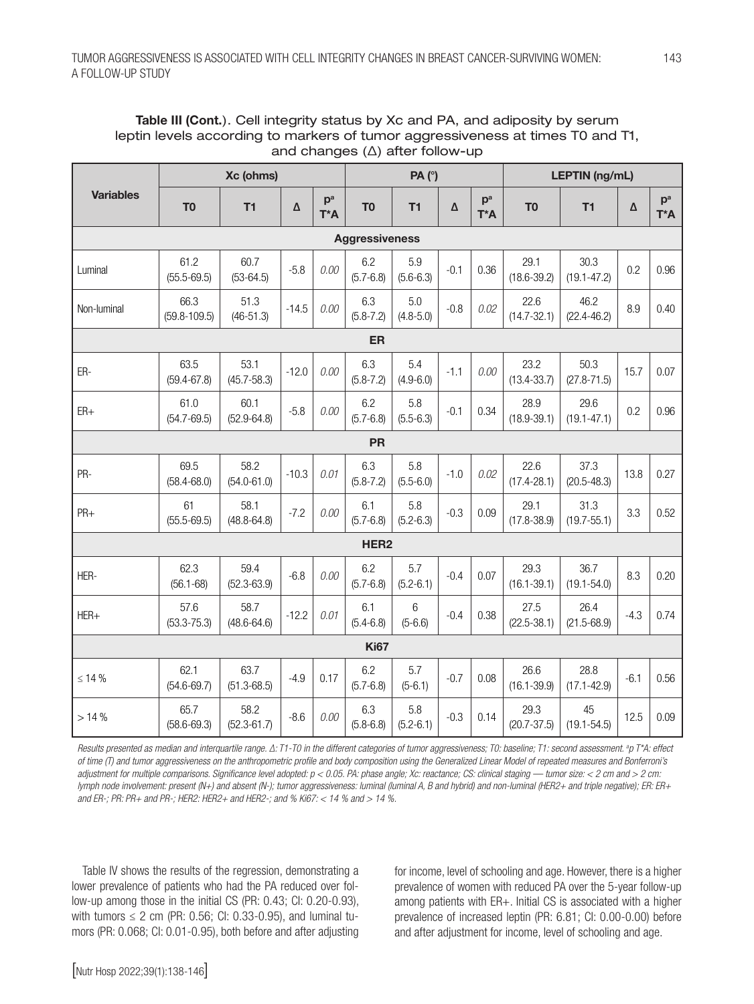| Table III (Cont.). Cell integrity status by Xc and PA, and adiposity by serum  |
|--------------------------------------------------------------------------------|
| leptin levels according to markers of tumor aggressiveness at times T0 and T1, |
| and changes $(\Delta)$ after follow-up                                         |

|                  |                          | Xc (ohms)               |         |              |                       | PA(°)                |        |                       |                         | <b>LEPTIN</b> (ng/mL)   |        |                       |
|------------------|--------------------------|-------------------------|---------|--------------|-----------------------|----------------------|--------|-----------------------|-------------------------|-------------------------|--------|-----------------------|
| <b>Variables</b> | T <sub>0</sub>           | T1                      | Δ       | $p^a$<br>T*A | T <sub>0</sub>        | T1                   | Δ      | p <sup>a</sup><br>T*A | T <sub>0</sub>          | T1                      | Δ      | p <sup>a</sup><br>T*A |
|                  |                          |                         |         |              | <b>Aggressiveness</b> |                      |        |                       |                         |                         |        |                       |
| Luminal          | 61.2<br>$(55.5 - 69.5)$  | 60.7<br>$(53-64.5)$     | $-5.8$  | 0.00         | 6.2<br>$(5.7 - 6.8)$  | 5.9<br>$(5.6 - 6.3)$ | $-0.1$ | 0.36                  | 29.1<br>$(18.6 - 39.2)$ | 30.3<br>$(19.1 - 47.2)$ | 0.2    | 0.96                  |
| Non-luminal      | 66.3<br>$(59.8 - 109.5)$ | 51.3<br>$(46-51.3)$     | $-14.5$ | 0.00         | 6.3<br>$(5.8 - 7.2)$  | 5.0<br>$(4.8 - 5.0)$ | $-0.8$ | 0.02                  | 22.6<br>$(14.7 - 32.1)$ | 46.2<br>$(22.4 - 46.2)$ | 8.9    | 0.40                  |
|                  |                          |                         |         |              | ER                    |                      |        |                       |                         |                         |        |                       |
| ER-              | 63.5<br>$(59.4 - 67.8)$  | 53.1<br>$(45.7 - 58.3)$ | $-12.0$ | 0.00         | 6.3<br>$(5.8 - 7.2)$  | 5.4<br>$(4.9 - 6.0)$ | $-1.1$ | 0.00                  | 23.2<br>$(13.4 - 33.7)$ | 50.3<br>$(27.8 - 71.5)$ | 15.7   | 0.07                  |
| $ER+$            | 61.0<br>$(54.7 - 69.5)$  | 60.1<br>$(52.9 - 64.8)$ | $-5.8$  | 0.00         | 6.2<br>$(5.7 - 6.8)$  | 5.8<br>$(5.5 - 6.3)$ | $-0.1$ | 0.34                  | 28.9<br>$(18.9 - 39.1)$ | 29.6<br>$(19.1 - 47.1)$ | 0.2    | 0.96                  |
|                  |                          |                         |         |              | <b>PR</b>             |                      |        |                       |                         |                         |        |                       |
| PR-              | 69.5<br>$(58.4 - 68.0)$  | 58.2<br>$(54.0 - 61.0)$ | $-10.3$ | 0.01         | 6.3<br>$(5.8 - 7.2)$  | 5.8<br>$(5.5 - 6.0)$ | $-1.0$ | 0.02                  | 22.6<br>$(17.4 - 28.1)$ | 37.3<br>$(20.5 - 48.3)$ | 13.8   | 0.27                  |
| PR+              | 61<br>$(55.5 - 69.5)$    | 58.1<br>$(48.8 - 64.8)$ | $-7.2$  | 0.00         | 6.1<br>$(5.7 - 6.8)$  | 5.8<br>$(5.2 - 6.3)$ | $-0.3$ | 0.09                  | 29.1<br>$(17.8 - 38.9)$ | 31.3<br>$(19.7 - 55.1)$ | 3.3    | 0.52                  |
|                  |                          |                         |         |              | HER <sub>2</sub>      |                      |        |                       |                         |                         |        |                       |
| HER-             | 62.3<br>$(56.1 - 68)$    | 59.4<br>$(52.3 - 63.9)$ | $-6.8$  | 0.00         | 6.2<br>$(5.7 - 6.8)$  | 5.7<br>$(5.2 - 6.1)$ | $-0.4$ | 0.07                  | 29.3<br>$(16.1 - 39.1)$ | 36.7<br>$(19.1 - 54.0)$ | 8.3    | 0.20                  |
| $HER+$           | 57.6<br>$(53.3 - 75.3)$  | 58.7<br>$(48.6 - 64.6)$ | $-12.2$ | 0.01         | 6.1<br>$(5.4 - 6.8)$  | 6<br>$(5 - 6.6)$     | $-0.4$ | 0.38                  | 27.5<br>$(22.5 - 38.1)$ | 26.4<br>$(21.5 - 68.9)$ | $-4.3$ | 0.74                  |
|                  |                          |                         |         |              | <b>Ki67</b>           |                      |        |                       |                         |                         |        |                       |
| $\leq 14\%$      | 62.1<br>$(54.6 - 69.7)$  | 63.7<br>$(51.3 - 68.5)$ | $-4.9$  | 0.17         | 6.2<br>$(5.7 - 6.8)$  | 5.7<br>$(5-6.1)$     | $-0.7$ | 0.08                  | 26.6<br>$(16.1 - 39.9)$ | 28.8<br>$(17.1 - 42.9)$ | $-6.1$ | 0.56                  |
| >14%             | 65.7<br>$(58.6 - 69.3)$  | 58.2<br>$(52.3 - 61.7)$ | $-8.6$  | 0.00         | 6.3<br>$(5.8 - 6.8)$  | 5.8<br>$(5.2 - 6.1)$ | $-0.3$ | 0.14                  | 29.3<br>$(20.7 - 37.5)$ | 45<br>$(19.1 - 54.5)$   | 12.5   | 0.09                  |

*Results presented as median and interquartile range. ∆: T1-T0 in the different categories of tumor aggressiveness; T0: baseline; T1: second assessment. ªp T\*A: effect of time (T) and tumor aggressiveness on the anthropometric profile and body composition using the Generalized Linear Model of repeated measures and Bonferroni's adjustment for multiple comparisons. Significance level adopted: p < 0.05. PA: phase angle; Xc: reactance; CS: clinical staging — tumor size: < 2 cm and > 2 cm: lymph node involvement: present (N+) and absent (N-); tumor aggressiveness: luminal (luminal A, B and hybrid) and non-luminal (HER2+ and triple negative); ER: ER+ and ER-; PR: PR+ and PR-; HER2: HER2+ and HER2-; and % Ki67: < 14 % and > 14 %.*

Table IV shows the results of the regression, demonstrating a lower prevalence of patients who had the PA reduced over follow-up among those in the initial CS (PR: 0.43; CI: 0.20-0.93), with tumors  $\leq 2$  cm (PR: 0.56; CI: 0.33-0.95), and luminal tumors (PR: 0.068; CI: 0.01-0.95), both before and after adjusting

for income, level of schooling and age. However, there is a higher prevalence of women with reduced PA over the 5-year follow-up among patients with ER+. Initial CS is associated with a higher prevalence of increased leptin (PR: 6.81; CI: 0.00-0.00) before and after adjustment for income, level of schooling and age.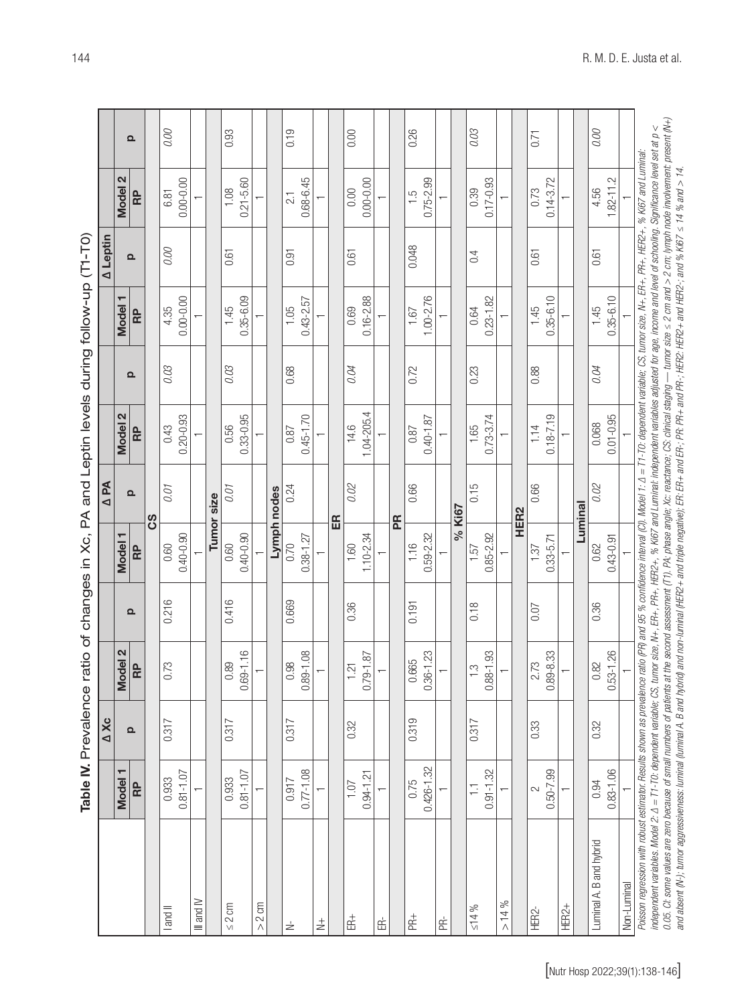| )<br>}                                                                           |
|----------------------------------------------------------------------------------|
|                                                                                  |
|                                                                                  |
|                                                                                  |
|                                                                                  |
|                                                                                  |
|                                                                                  |
|                                                                                  |
|                                                                                  |
|                                                                                  |
|                                                                                  |
|                                                                                  |
|                                                                                  |
|                                                                                  |
|                                                                                  |
|                                                                                  |
|                                                                                  |
|                                                                                  |
|                                                                                  |
| )                                                                                |
|                                                                                  |
|                                                                                  |
|                                                                                  |
|                                                                                  |
|                                                                                  |
|                                                                                  |
|                                                                                  |
|                                                                                  |
|                                                                                  |
|                                                                                  |
| ble IV. Prevalence ratio of changes in Xc, PA and Leptin levels during follow-up |

| $0.81 - 1.07$<br>0.933<br><b>Model</b><br>RP<br>I and II |          |                                |          |                          | A PA              |                       |          |                       | A Leptin          |                       |          |
|----------------------------------------------------------|----------|--------------------------------|----------|--------------------------|-------------------|-----------------------|----------|-----------------------|-------------------|-----------------------|----------|
|                                                          |          | Model 2                        |          | Model 1                  |                   | N<br>Model:           |          | <b>Model</b>          |                   | 2<br><b>Model</b>     |          |
|                                                          | $\Omega$ | RP                             | $\Omega$ | RP                       | $\mathbf{\Omega}$ | RP                    | $\Omega$ | RP                    | $\mathbf{\Omega}$ | RP                    | $\Omega$ |
|                                                          |          |                                |          |                          | ပ္ပိ              |                       |          |                       |                   |                       |          |
|                                                          | 0.317    | 0.73                           | 0.216    | 0.60                     | 0.01              | 0.43                  | 0.03     | 4.35                  | 0.00              | 6.81                  | 0.00     |
|                                                          |          |                                |          | $0.40 - 0.90$            |                   | $0.20 - 0.93$         |          | $0.00 - 0.00$         |                   | $0.00 - 0.00$         |          |
| $\overline{ }$<br>$M$ and $M$                            |          |                                |          |                          |                   |                       |          |                       |                   |                       |          |
|                                                          |          |                                |          |                          | Tumor size        |                       |          |                       |                   |                       |          |
| 0.933<br>$\leq 2$ cm                                     | 0.317    | 0.89                           | 0.416    | 0.60                     | 0.01              | 0.56                  | 0.03     | 1.45                  | 0.61              | 1.08                  | 0.93     |
| $0.81 - 1.07$                                            |          | $0.69 - 1.16$                  |          | $0.40 - 0.90$            |                   | $0.33 - 0.95$         |          | $0.35 - 6.09$         |                   | $0.21 - 5.60$         |          |
| $> 2$ cm                                                 |          |                                |          |                          |                   |                       |          |                       |                   |                       |          |
|                                                          |          |                                |          |                          | Lymph nodes       |                       |          |                       |                   |                       |          |
| 0.917<br>$\stackrel{\text{\tiny +}}{\simeq}$             | 0.317    | 0.98                           | 0.669    | 0.70                     | 0.24              | 0.87                  | 0.68     | 1.05                  | 0.91              | 21                    | 0.19     |
| $0.77 - 1.08$                                            |          | $0.89 - 1.08$                  |          | $0.38 - 1.27$            |                   | $0.45 - 1.70$         |          | $0.43 - 2.57$         |                   | $0.68 - 6.45$         |          |
| ↽<br>$_{2}^{+}$                                          |          |                                |          |                          |                   |                       |          |                       |                   |                       |          |
|                                                          |          |                                |          |                          | E                 |                       |          |                       |                   |                       |          |
| 1.07<br>$\mathbb{E}^+$                                   | 0.32     | 1.21                           | 0.36     | 1.60                     | 0.02              | 14.6                  | 0.04     | 0.69                  | 0.61              | 0.00                  | 0.00     |
| $0.94 - 1.21$                                            |          | $0.79 - 1.87$                  |          | $1.10 - 2.34$            |                   | 1.04-205.4            |          | $0.16 - 2.88$         |                   | $0.00 - 0.00$         |          |
| $\overline{ }$<br>Ė                                      |          |                                |          | $\overline{\phantom{0}}$ |                   |                       |          |                       |                   | $\overline{ }$        |          |
|                                                          |          |                                |          |                          | PR                |                       |          |                       |                   |                       |          |
| 0.75<br>$R_{+}$                                          | 0.319    | 0.665                          | 0.191    | 1.16                     | 0.66              | 0.87                  | 0.72     | 1.67                  | 0.048             | $\frac{5}{1}$         | 0.26     |
| $0.426 - 1.32$                                           |          | $0.36 - 1.23$                  |          | $0.59 - 2.32$            |                   | $0.40 - 1.87$         |          | $1.00 - 2.76$         |                   | $0.75 - 2.99$         |          |
| 笘                                                        |          |                                |          |                          |                   |                       |          |                       |                   |                       |          |
|                                                          |          |                                |          |                          | % Ki67            |                       |          |                       |                   |                       |          |
| $0.91 - 1.32$<br>$\overline{a}$<br>$\leq 14\%$           | 0.317    | $0.88 - 1.93$<br>$\frac{3}{2}$ | 0.18     | $0.85 - 2.92$<br>1.57    | 0.15              | $0.73 - 3.74$<br>1.65 | 0.23     | $0.23 - 1.82$<br>0.64 | 0.4               | $0.17 - 0.93$<br>0.39 | 0.03     |
| $\overline{\phantom{0}}$<br>$> 14\%$                     |          |                                |          |                          |                   |                       |          |                       |                   |                       |          |
|                                                          |          |                                |          |                          | HER <sub>2</sub>  |                       |          |                       |                   |                       |          |
| $\sim$<br>HER2-                                          | 0.33     | 2.73                           | 0.07     | 1.37                     | 0.66              | 1.14                  | 0.88     | 1.45                  | 0.61              | 0.73                  | 0.71     |
| $0.50 - 7.99$                                            |          | $0.89 - 8.33$                  |          | $0.33 - 5.71$            |                   | $0.18 - 7.19$         |          | $0.35 - 6.10$         |                   | $0.14 - 3.72$         |          |
| $\overline{ }$<br>HER2+                                  |          |                                |          |                          |                   |                       |          |                       |                   | $\overline{ }$        |          |
|                                                          |          |                                |          |                          | Luminal           |                       |          |                       |                   |                       |          |
| 0.94<br>Luminal A. B and hybrid                          | 0.32     | 0.82                           | 0.36     | 0.62                     | 0.02              | 0.068                 | 0.04     | 1.45                  | 0.61              | 4.56                  | 0.00     |
| $0.83 - 1.06$                                            |          | $0.53 - 1.26$                  |          | $0.43 - 0.91$            |                   | $0.01 - 0.95$         |          | $0.35 - 6.10$         |                   | $1.82 - 11.2$         |          |
| Non-Luminal                                              |          |                                |          |                          |                   |                       |          |                       |                   |                       |          |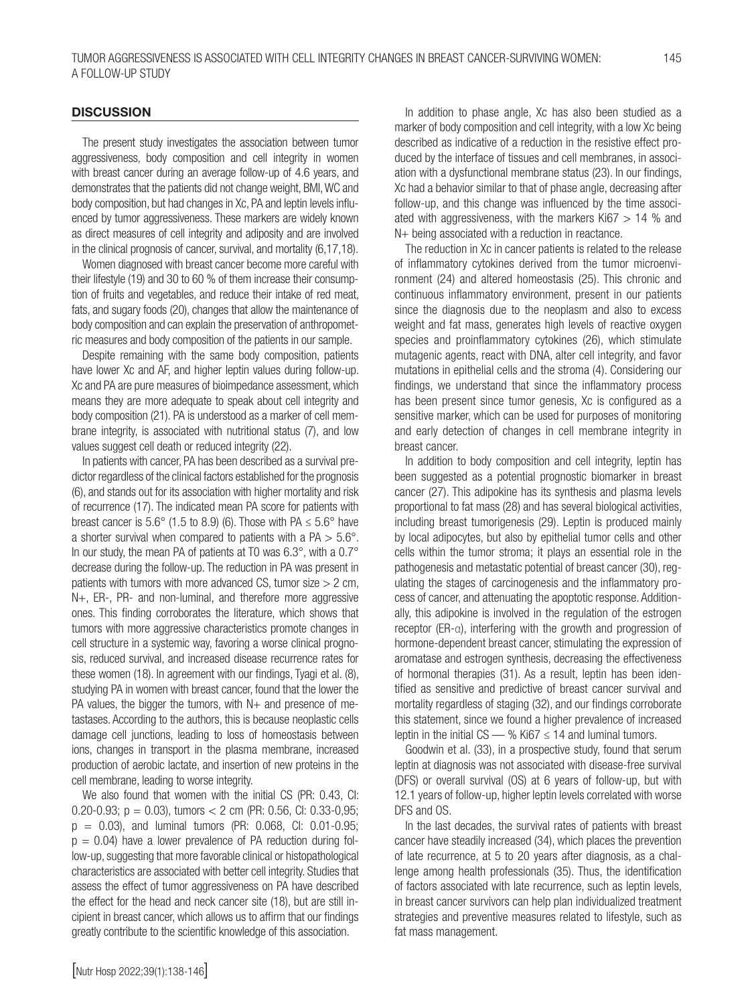#### **DISCUSSION**

The present study investigates the association between tumor aggressiveness, body composition and cell integrity in women with breast cancer during an average follow-up of 4.6 years, and demonstrates that the patients did not change weight, BMI, WC and body composition, but had changes in Xc, PA and leptin levels influenced by tumor aggressiveness. These markers are widely known as direct measures of cell integrity and adiposity and are involved in the clinical prognosis of cancer, survival, and mortality (6,17,18).

Women diagnosed with breast cancer become more careful with their lifestyle (19) and 30 to 60 % of them increase their consumption of fruits and vegetables, and reduce their intake of red meat, fats, and sugary foods (20), changes that allow the maintenance of body composition and can explain the preservation of anthropometric measures and body composition of the patients in our sample.

Despite remaining with the same body composition, patients have lower Xc and AF, and higher leptin values during follow-up. Xc and PA are pure measures of bioimpedance assessment, which means they are more adequate to speak about cell integrity and body composition (21). PA is understood as a marker of cell membrane integrity, is associated with nutritional status (7), and low values suggest cell death or reduced integrity (22).

In patients with cancer, PA has been described as a survival predictor regardless of the clinical factors established for the prognosis (6), and stands out for its association with higher mortality and risk of recurrence (17). The indicated mean PA score for patients with breast cancer is  $5.6^{\circ}$  (1.5 to 8.9) (6). Those with PA  $\leq 5.6^{\circ}$  have a shorter survival when compared to patients with a  $PA > 5.6^{\circ}$ . In our study, the mean PA of patients at T0 was 6.3°, with a 0.7° decrease during the follow-up. The reduction in PA was present in patients with tumors with more advanced CS, tumor size  $> 2$  cm, N+, ER-, PR- and non-luminal, and therefore more aggressive ones. This finding corroborates the literature, which shows that tumors with more aggressive characteristics promote changes in cell structure in a systemic way, favoring a worse clinical prognosis, reduced survival, and increased disease recurrence rates for these women (18). In agreement with our findings, Tyagi et al. (8), studying PA in women with breast cancer, found that the lower the PA values, the bigger the tumors, with N+ and presence of metastases. According to the authors, this is because neoplastic cells damage cell junctions, leading to loss of homeostasis between ions, changes in transport in the plasma membrane, increased production of aerobic lactate, and insertion of new proteins in the cell membrane, leading to worse integrity.

We also found that women with the initial CS (PR: 0.43, CI: 0.20-0.93; p = 0.03), tumors < 2 cm (PR: 0.56, CI: 0.33-0,95; p = 0.03), and luminal tumors (PR: 0.068, CI: 0.01-0.95;  $p = 0.04$ ) have a lower prevalence of PA reduction during follow-up, suggesting that more favorable clinical or histopathological characteristics are associated with better cell integrity. Studies that assess the effect of tumor aggressiveness on PA have described the effect for the head and neck cancer site (18), but are still incipient in breast cancer, which allows us to affirm that our findings greatly contribute to the scientific knowledge of this association.

In addition to phase angle, Xc has also been studied as a marker of body composition and cell integrity, with a low Xc being described as indicative of a reduction in the resistive effect produced by the interface of tissues and cell membranes, in association with a dysfunctional membrane status (23). In our findings, Xc had a behavior similar to that of phase angle, decreasing after follow-up, and this change was influenced by the time associated with aggressiveness, with the markers  $Ki67 > 14 %$  and N+ being associated with a reduction in reactance.

The reduction in Xc in cancer patients is related to the release of inflammatory cytokines derived from the tumor microenvironment (24) and altered homeostasis (25). This chronic and continuous inflammatory environment, present in our patients since the diagnosis due to the neoplasm and also to excess weight and fat mass, generates high levels of reactive oxygen species and proinflammatory cytokines (26), which stimulate mutagenic agents, react with DNA, alter cell integrity, and favor mutations in epithelial cells and the stroma (4). Considering our findings, we understand that since the inflammatory process has been present since tumor genesis, Xc is configured as a sensitive marker, which can be used for purposes of monitoring and early detection of changes in cell membrane integrity in breast cancer.

In addition to body composition and cell integrity, leptin has been suggested as a potential prognostic biomarker in breast cancer (27). This adipokine has its synthesis and plasma levels proportional to fat mass (28) and has several biological activities, including breast tumorigenesis (29). Leptin is produced mainly by local adipocytes, but also by epithelial tumor cells and other cells within the tumor stroma; it plays an essential role in the pathogenesis and metastatic potential of breast cancer (30), regulating the stages of carcinogenesis and the inflammatory process of cancer, and attenuating the apoptotic response. Additionally, this adipokine is involved in the regulation of the estrogen receptor (ER-α), interfering with the growth and progression of hormone-dependent breast cancer, stimulating the expression of aromatase and estrogen synthesis, decreasing the effectiveness of hormonal therapies (31). As a result, leptin has been identified as sensitive and predictive of breast cancer survival and mortality regardless of staging (32), and our findings corroborate this statement, since we found a higher prevalence of increased leptin in the initial CS — % Ki67  $\leq$  14 and luminal tumors.

Goodwin et al. (33), in a prospective study, found that serum leptin at diagnosis was not associated with disease-free survival (DFS) or overall survival (OS) at 6 years of follow-up, but with 12.1 years of follow-up, higher leptin levels correlated with worse DFS and OS.

In the last decades, the survival rates of patients with breast cancer have steadily increased (34), which places the prevention of late recurrence, at 5 to 20 years after diagnosis, as a challenge among health professionals (35). Thus, the identification of factors associated with late recurrence, such as leptin levels, in breast cancer survivors can help plan individualized treatment strategies and preventive measures related to lifestyle, such as fat mass management.